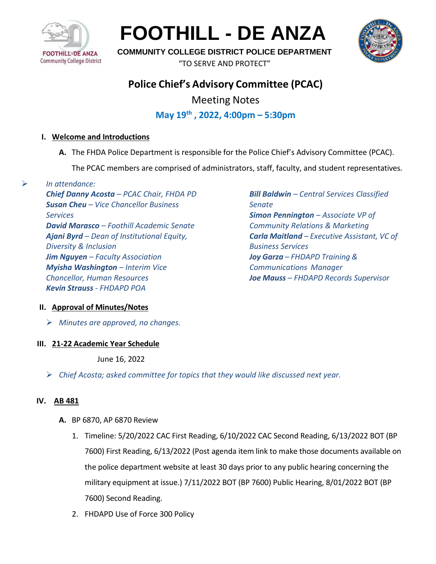

**FOOTHILL - DE ANZA**



**COMMUNITY COLLEGE DISTRICT POLICE DEPARTMENT**

"TO SERVE AND PROTECT"

# **Police Chief's Advisory Committee (PCAC)**

Meeting Notes

## **May 19th , 2022, 4:00pm – 5:30pm**

## **I. Welcome and Introductions**

**A.** The FHDA Police Department is responsible for the Police Chief's Advisory Committee (PCAC).

The PCAC members are comprised of administrators, staff, faculty, and student representatives.

➢ *In attendance:*

*Chief Danny Acosta – PCAC Chair, FHDA PD Susan Cheu – Vice Chancellor Business Services David Marasco – Foothill Academic Senate Ajani Byrd – Dean of Institutional Equity, Diversity & Inclusion Jim Nguyen – Faculty Association Myisha Washington – Interim Vice Chancellor, Human Resources Kevin Strauss - FHDAPD POA*

*Bill Baldwin – Central Services Classified Senate Simon Pennington – Associate VP of Community Relations & Marketing Carla Maitland – Executive Assistant, VC of Business Services Joy Garza – FHDAPD Training & Communications Manager Joe Mauss – FHDAPD Records Supervisor*

## **II. Approval of Minutes/Notes**

➢ *Minutes are approved, no changes.* 

## **III. 21-22 Academic Year Schedule**

June 16, 2022

➢ *Chief Acosta; asked committee for topics that they would like discussed next year.*

## **IV. AB 481**

- **A.** BP 6870, AP 6870 Review
	- 1. Timeline: 5/20/2022 CAC First Reading, 6/10/2022 CAC Second Reading, 6/13/2022 BOT (BP 7600) First Reading, 6/13/2022 (Post agenda item link to make those documents available on the police department website at least 30 days prior to any public hearing concerning the military equipment at issue.) 7/11/2022 BOT (BP 7600) Public Hearing, 8/01/2022 BOT (BP 7600) Second Reading.
	- 2. FHDAPD Use of Force 300 Policy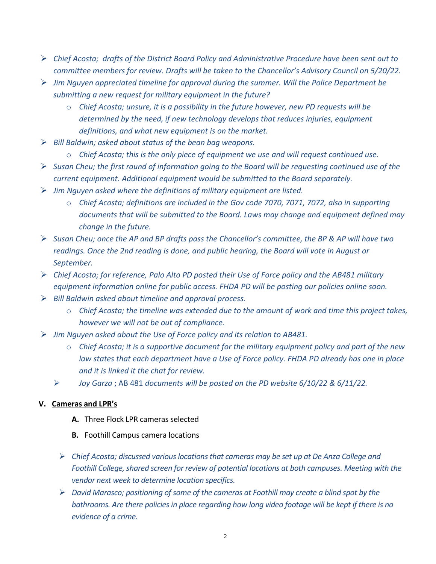- ➢ *Chief Acosta; drafts of the District Board Policy and Administrative Procedure have been sent out to committee members for review. Drafts will be taken to the Chancellor's Advisory Council on 5/20/22.*
- ➢ *Jim Nguyen appreciated timeline for approval during the summer. Will the Police Department be submitting a new request for military equipment in the future?* 
	- o *Chief Acosta; unsure, it is a possibility in the future however, new PD requests will be determined by the need, if new technology develops that reduces injuries, equipment definitions, and what new equipment is on the market.*
- ➢ *Bill Baldwin; asked about status of the bean bag weapons.*
	- o *Chief Acosta; this is the only piece of equipment we use and will request continued use.*
- ➢ *Susan Cheu; the first round of information going to the Board will be requesting continued use of the current equipment. Additional equipment would be submitted to the Board separately.*
- ➢ *Jim Nguyen asked where the definitions of military equipment are listed.* 
	- o *Chief Acosta; definitions are included in the Gov code 7070, 7071, 7072, also in supporting documents that will be submitted to the Board. Laws may change and equipment defined may change in the future.*
- ➢ *Susan Cheu; once the AP and BP drafts pass the Chancellor's committee, the BP & AP will have two readings. Once the 2nd reading is done, and public hearing, the Board will vote in August or September.*
- ➢ *Chief Acosta; for reference, Palo Alto PD posted their Use of Force policy and the AB481 military equipment information online for public access. FHDA PD will be posting our policies online soon.*
- ➢ *Bill Baldwin asked about timeline and approval process.* 
	- o *Chief Acosta; the timeline was extended due to the amount of work and time this project takes, however we will not be out of compliance.*
- ➢ *Jim Nguyen asked about the Use of Force policy and its relation to AB481.* 
	- o *Chief Acosta; it is a supportive document for the military equipment policy and part of the new law states that each department have a Use of Force policy. FHDA PD already has one in place and it is linked it the chat for review.*
	- ➢ *Joy Garza* ; AB 481 *documents will be posted on the PD website 6/10/22 & 6/11/22.*

#### **V. Cameras and LPR's**

- **A.** Three Flock LPR cameras selected
- **B.** Foothill Campus camera locations
- ➢ *Chief Acosta; discussed various locations that cameras may be set up at De Anza College and Foothill College, shared screen for review of potential locations at both campuses. Meeting with the vendor next week to determine location specifics.*
- ➢ *David Marasco; positioning of some of the cameras at Foothill may create a blind spot by the bathrooms. Are there policiesin place regarding how long video footage will be kept if there is no evidence of a crime.*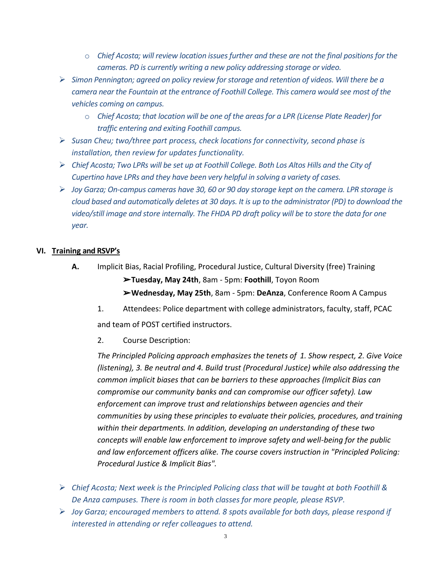- o *Chief Acosta; will review location issues further and these are not the final positions for the cameras. PD is currently writing a new policy addressing storage or video.*
- ➢ *Simon Pennington; agreed on policy review for storage and retention of videos. Will there be a camera near the Fountain at the entrance of Foothill College. This camera would see most of the vehicles coming on campus.*
	- o *Chief Acosta; that location will be one of the areas for a LPR (License Plate Reader) for traffic entering and exiting Foothill campus.*
- ➢ *Susan Cheu; two/three part process, check locations for connectivity, second phase is installation, then review for updates functionality.*
- ➢ *Chief Acosta; Two LPRs will be set up at Foothill College. Both Los Altos Hills and the City of Cupertino have LPRs and they have been very helpful in solving a variety of cases.*
- ➢ *Joy Garza; On-campus cameras have 30, 60 or 90 day storage kept on the camera. LPR storage is cloud based and automatically deletes at 30 days. It is up to the administrator (PD) to download the video/still image and store internally. The FHDA PD draft policy will be to store the data for one year.*

## **VI. Training and RSVP's**

- **A.** Implicit Bias, Racial Profiling, Procedural Justice, Cultural Diversity (free) Training ➢**Tuesday, May 24th**, 8am - 5pm: **Foothill**, Toyon Room ➢**Wednesday, May 25th**, 8am - 5pm: **DeAnza**, Conference Room A Campus
	- 1. Attendees: Police department with college administrators, faculty, staff, PCAC and team of POST certified instructors.
	- 2. Course Description:

*The Principled Policing approach emphasizes the tenets of 1. Show respect, 2. Give Voice (listening), 3. Be neutral and 4. Build trust (Procedural Justice) while also addressing the common implicit biases that can be barriers to these approaches (Implicit Bias can compromise our community banks and can compromise our officer safety). Law enforcement can improve trust and relationships between agencies and their communities by using these principles to evaluate their policies, procedures, and training within their departments. In addition, developing an understanding of these two concepts will enable law enforcement to improve safety and well-being for the public and law enforcement officers alike. The course covers instruction in "Principled Policing: Procedural Justice & Implicit Bias".*

- ➢ *Chief Acosta; Next week is the Principled Policing class that will be taught at both Foothill & De Anza campuses. There is room in both classes for more people, please RSVP.*
- ➢ *Joy Garza; encouraged members to attend. 8 spots available for both days, please respond if interested in attending or refer colleagues to attend.*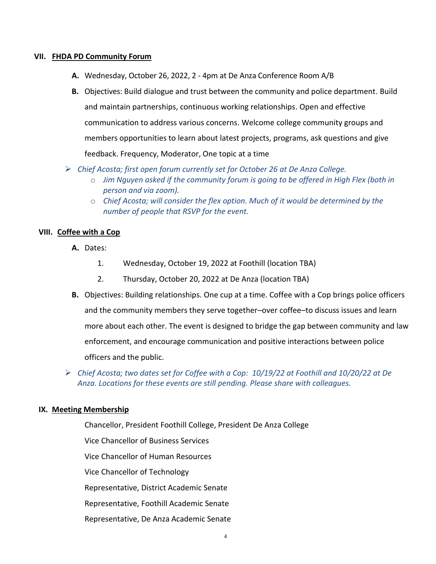#### **VII. FHDA PD Community Forum**

- **A.** Wednesday, October 26, 2022, 2 4pm at De Anza Conference Room A/B
- **B.** Objectives: Build dialogue and trust between the community and police department. Build and maintain partnerships, continuous working relationships. Open and effective communication to address various concerns. Welcome college community groups and members opportunities to learn about latest projects, programs, ask questions and give feedback. Frequency, Moderator, One topic at a time
- ➢ *Chief Acosta; first open forum currently set for October 26 at De Anza College.*
	- o *Jim Nguyen asked if the community forum is going to be offered in High Flex (both in person and via zoom).*
	- o *Chief Acosta; will consider the flex option. Much of it would be determined by the number of people that RSVP for the event.*

#### **VIII. Coffee with a Cop**

- **A.** Dates:
	- 1. Wednesday, October 19, 2022 at Foothill (location TBA)
	- 2. Thursday, October 20, 2022 at De Anza (location TBA)
- **B.** Objectives: Building relationships. One cup at a time. Coffee with a Cop brings police officers and the community members they serve together–over coffee–to discuss issues and learn more about each other. The event is designed to bridge the gap between community and law enforcement, and encourage communication and positive interactions between police officers and the public.
- ➢ *Chief Acosta; two dates set for Coffee with a Cop: 10/19/22 at Foothill and 10/20/22 at De Anza. Locations for these events are still pending. Please share with colleagues.*

#### **IX. Meeting Membership**

Chancellor, President Foothill College, President De Anza College Vice Chancellor of Business Services Vice Chancellor of Human Resources Vice Chancellor of Technology Representative, District Academic Senate Representative, Foothill Academic Senate Representative, De Anza Academic Senate